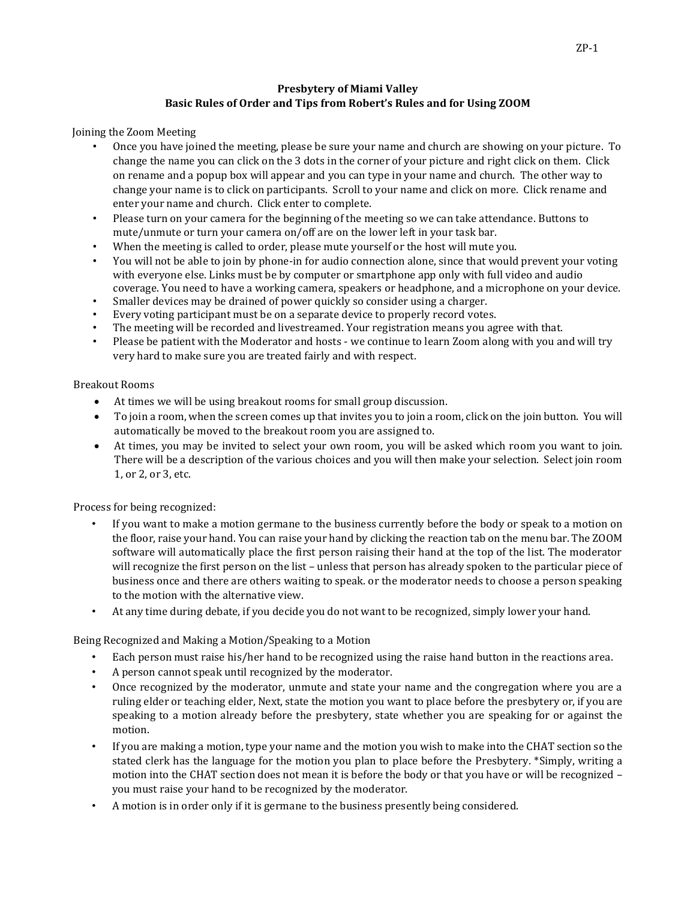## **Presbytery of Miami Valley Basic Rules of Order and Tips from Robert's Rules and for Using ZOOM**

Joining the Zoom Meeting

- Once you have joined the meeting, please be sure your name and church are showing on your picture. To change the name you can click on the 3 dots in the corner of your picture and right click on them. Click on rename and a popup box will appear and you can type in your name and church. The other way to change your name is to click on participants. Scroll to your name and click on more. Click rename and enter your name and church. Click enter to complete.
- Please turn on your camera for the beginning of the meeting so we can take attendance. Buttons to mute/unmute or turn your camera on/off are on the lower left in your task bar.
- When the meeting is called to order, please mute yourself or the host will mute you.
- You will not be able to join by phone-in for audio connection alone, since that would prevent your voting with everyone else. Links must be by computer or smartphone app only with full video and audio coverage. You need to have a working camera, speakers or headphone, and a microphone on your device.
- Smaller devices may be drained of power quickly so consider using a charger.
- Every voting participant must be on a separate device to properly record votes.
- The meeting will be recorded and livestreamed. Your registration means you agree with that.
- Please be patient with the Moderator and hosts we continue to learn Zoom along with you and will try very hard to make sure you are treated fairly and with respect.

# Breakout Rooms

- At times we will be using breakout rooms for small group discussion.
- To join a room, when the screen comes up that invites you to join a room, click on the join button. You will automatically be moved to the breakout room you are assigned to.
- At times, you may be invited to select your own room, you will be asked which room you want to join. There will be a description of the various choices and you will then make your selection. Select join room 1, or 2, or 3, etc.

Process for being recognized:

- If you want to make a motion germane to the business currently before the body or speak to a motion on the floor, raise your hand. You can raise your hand by clicking the reaction tab on the menu bar. The ZOOM software will automatically place the first person raising their hand at the top of the list. The moderator will recognize the first person on the list – unless that person has already spoken to the particular piece of business once and there are others waiting to speak. or the moderator needs to choose a person speaking to the motion with the alternative view.
- At any time during debate, if you decide you do not want to be recognized, simply lower your hand.

Being Recognized and Making a Motion/Speaking to a Motion

- Each person must raise his/her hand to be recognized using the raise hand button in the reactions area.
- A person cannot speak until recognized by the moderator.
- Once recognized by the moderator, unmute and state your name and the congregation where you are a ruling elder or teaching elder, Next, state the motion you want to place before the presbytery or, if you are speaking to a motion already before the presbytery, state whether you are speaking for or against the motion.
- If you are making a motion, type your name and the motion you wish to make into the CHAT section so the stated clerk has the language for the motion you plan to place before the Presbytery. \*Simply, writing a motion into the CHAT section does not mean it is before the body or that you have or will be recognized – you must raise your hand to be recognized by the moderator.
- A motion is in order only if it is germane to the business presently being considered.